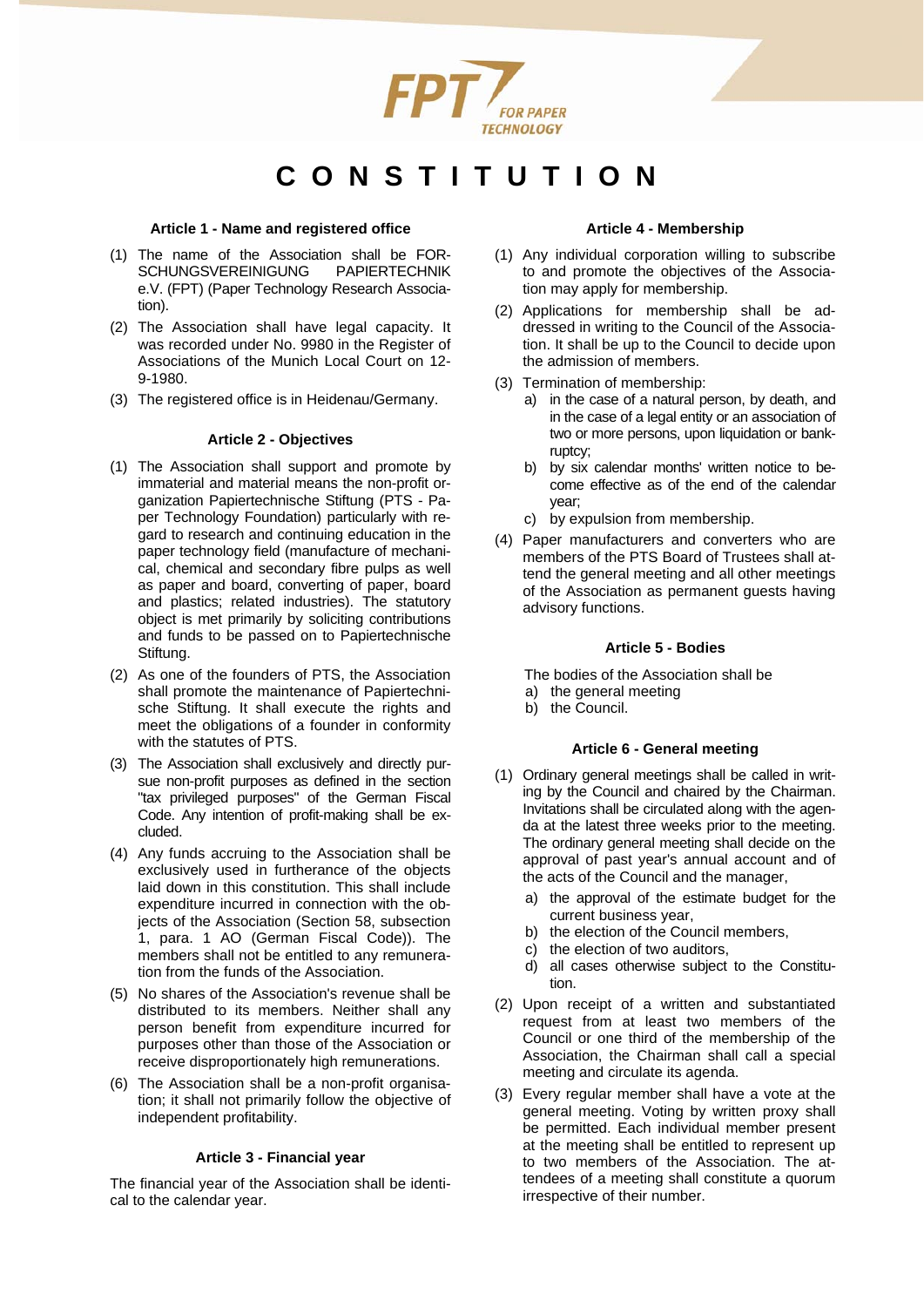

# **CONSTITUTION**

#### **Article 1 - Name and registered office**

- (1) The name of the Association shall be FOR-SCHUNGSVEREINIGUNG PAPIERTECHNIK e.V. (FPT) (Paper Technology Research Association).
- (2) The Association shall have legal capacity. It was recorded under No. 9980 in the Register of Associations of the Munich Local Court on 12- 9-1980.
- (3) The registered office is in Heidenau/Germany.

## **Article 2 - Objectives**

- (1) The Association shall support and promote by immaterial and material means the non-profit organization Papiertechnische Stiftung (PTS - Paper Technology Foundation) particularly with regard to research and continuing education in the paper technology field (manufacture of mechanical, chemical and secondary fibre pulps as well as paper and board, converting of paper, board and plastics; related industries). The statutory object is met primarily by soliciting contributions and funds to be passed on to Papiertechnische Stiftung.
- (2) As one of the founders of PTS, the Association shall promote the maintenance of Papiertechnische Stiftung. It shall execute the rights and meet the obligations of a founder in conformity with the statutes of PTS.
- (3) The Association shall exclusively and directly pursue non-profit purposes as defined in the section "tax privileged purposes" of the German Fiscal Code. Any intention of profit-making shall be excluded.
- (4) Any funds accruing to the Association shall be exclusively used in furtherance of the objects laid down in this constitution. This shall include expenditure incurred in connection with the objects of the Association (Section 58, subsection 1, para. 1 AO (German Fiscal Code)). The members shall not be entitled to any remuneration from the funds of the Association.
- (5) No shares of the Association's revenue shall be distributed to its members. Neither shall any person benefit from expenditure incurred for purposes other than those of the Association or receive disproportionately high remunerations.
- (6) The Association shall be a non-profit organisation; it shall not primarily follow the objective of independent profitability.

## **Article 3 - Financial year**

The financial year of the Association shall be identical to the calendar year.

## **Article 4 - Membership**

- (1) Any individual corporation willing to subscribe to and promote the objectives of the Association may apply for membership.
- (2) Applications for membership shall be addressed in writing to the Council of the Association. It shall be up to the Council to decide upon the admission of members.
- (3) Termination of membership:
	- a) in the case of a natural person, by death, and in the case of a legal entity or an association of two or more persons, upon liquidation or bankruptcy;
	- b) by six calendar months' written notice to become effective as of the end of the calendar year;
	- c) by expulsion from membership.
- (4) Paper manufacturers and converters who are members of the PTS Board of Trustees shall attend the general meeting and all other meetings of the Association as permanent guests having advisory functions.

## **Article 5 - Bodies**

The bodies of the Association shall be

- a) the general meeting
- b) the Council.

## **Article 6 - General meeting**

- (1) Ordinary general meetings shall be called in writing by the Council and chaired by the Chairman. Invitations shall be circulated along with the agenda at the latest three weeks prior to the meeting. The ordinary general meeting shall decide on the approval of past year's annual account and of the acts of the Council and the manager,
	- a) the approval of the estimate budget for the current business year,
	- b) the election of the Council members,
	- c) the election of two auditors,
	- d) all cases otherwise subject to the Constitution.
- (2) Upon receipt of a written and substantiated request from at least two members of the Council or one third of the membership of the Association, the Chairman shall call a special meeting and circulate its agenda.
- (3) Every regular member shall have a vote at the general meeting. Voting by written proxy shall be permitted. Each individual member present at the meeting shall be entitled to represent up to two members of the Association. The attendees of a meeting shall constitute a quorum irrespective of their number.